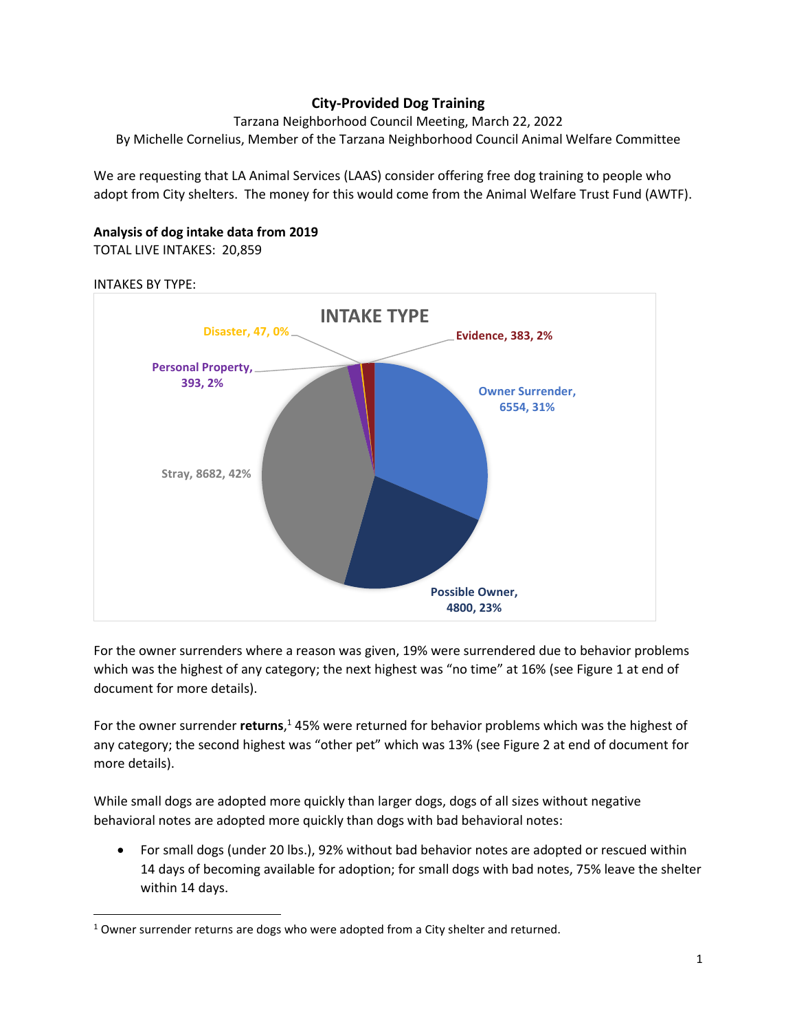# **City-Provided Dog Training**

Tarzana Neighborhood Council Meeting, March 22, 2022 By Michelle Cornelius, Member of the Tarzana Neighborhood Council Animal Welfare Committee

We are requesting that LA Animal Services (LAAS) consider offering free dog training to people who adopt from City shelters. The money for this would come from the Animal Welfare Trust Fund (AWTF).

# **Analysis of dog intake data from 2019**

TOTAL LIVE INTAKES: 20,859

#### INTAKES BY TYPE:



For the owner surrenders where a reason was given, 19% were surrendered due to behavior problems which was the highest of any category; the next highest was "no time" at 16% (see Figure 1 at end of document for more details).

For the owner surrender **returns**, <sup>1</sup> 45% were returned for behavior problems which was the highest of any category; the second highest was "other pet" which was 13% (see Figure 2 at end of document for more details).

While small dogs are adopted more quickly than larger dogs, dogs of all sizes without negative behavioral notes are adopted more quickly than dogs with bad behavioral notes:

• For small dogs (under 20 lbs.), 92% without bad behavior notes are adopted or rescued within 14 days of becoming available for adoption; for small dogs with bad notes, 75% leave the shelter within 14 days.

 $1$  Owner surrender returns are dogs who were adopted from a City shelter and returned.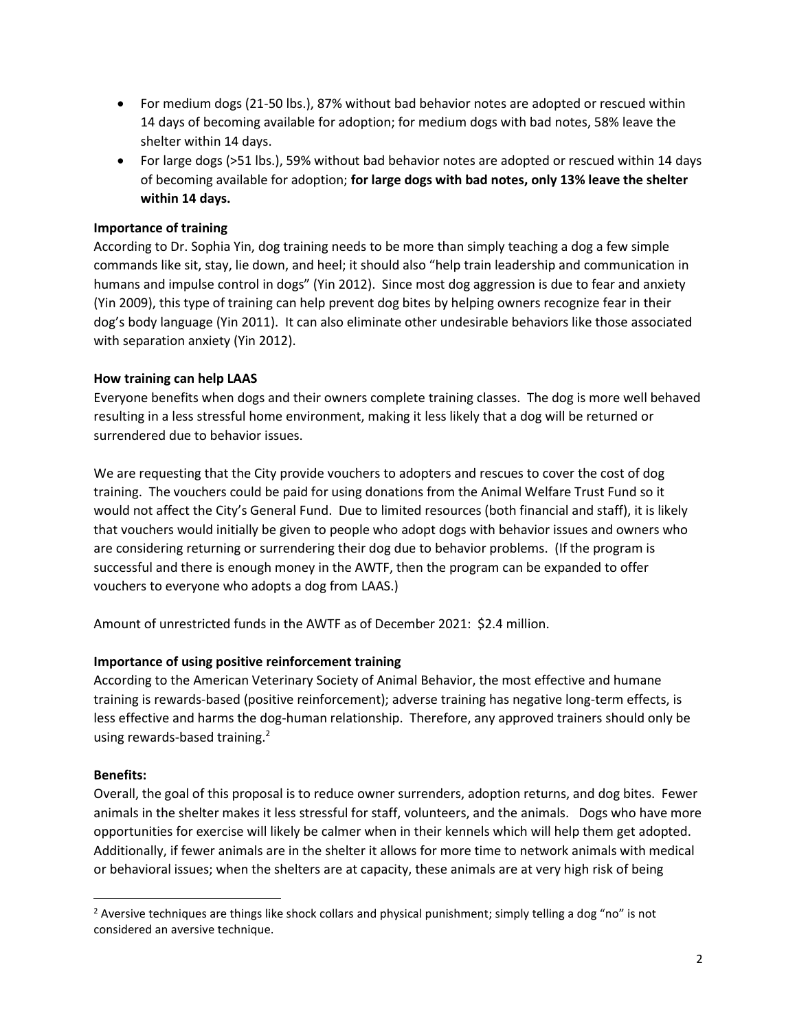- For medium dogs (21-50 lbs.), 87% without bad behavior notes are adopted or rescued within 14 days of becoming available for adoption; for medium dogs with bad notes, 58% leave the shelter within 14 days.
- For large dogs (>51 lbs.), 59% without bad behavior notes are adopted or rescued within 14 days of becoming available for adoption; **for large dogs with bad notes, only 13% leave the shelter within 14 days.**

## **Importance of training**

According to Dr. Sophia Yin, dog training needs to be more than simply teaching a dog a few simple commands like sit, stay, lie down, and heel; it should also "help train leadership and communication in humans and impulse control in dogs" (Yin 2012). Since most dog aggression is due to fear and anxiety (Yin 2009), this type of training can help prevent dog bites by helping owners recognize fear in their dog's body language (Yin 2011). It can also eliminate other undesirable behaviors like those associated with separation anxiety (Yin 2012).

### **How training can help LAAS**

Everyone benefits when dogs and their owners complete training classes. The dog is more well behaved resulting in a less stressful home environment, making it less likely that a dog will be returned or surrendered due to behavior issues.

We are requesting that the City provide vouchers to adopters and rescues to cover the cost of dog training. The vouchers could be paid for using donations from the Animal Welfare Trust Fund so it would not affect the City's General Fund. Due to limited resources (both financial and staff), it is likely that vouchers would initially be given to people who adopt dogs with behavior issues and owners who are considering returning or surrendering their dog due to behavior problems. (If the program is successful and there is enough money in the AWTF, then the program can be expanded to offer vouchers to everyone who adopts a dog from LAAS.)

Amount of unrestricted funds in the AWTF as of December 2021: \$2.4 million.

#### **Importance of using positive reinforcement training**

According to the American Veterinary Society of Animal Behavior, the most effective and humane training is rewards-based (positive reinforcement); adverse training has negative long-term effects, is less effective and harms the dog-human relationship. Therefore, any approved trainers should only be using rewards-based training.<sup>2</sup>

#### **Benefits:**

Overall, the goal of this proposal is to reduce owner surrenders, adoption returns, and dog bites. Fewer animals in the shelter makes it less stressful for staff, volunteers, and the animals. Dogs who have more opportunities for exercise will likely be calmer when in their kennels which will help them get adopted. Additionally, if fewer animals are in the shelter it allows for more time to network animals with medical or behavioral issues; when the shelters are at capacity, these animals are at very high risk of being

<sup>&</sup>lt;sup>2</sup> Aversive techniques are things like shock collars and physical punishment; simply telling a dog "no" is not considered an aversive technique.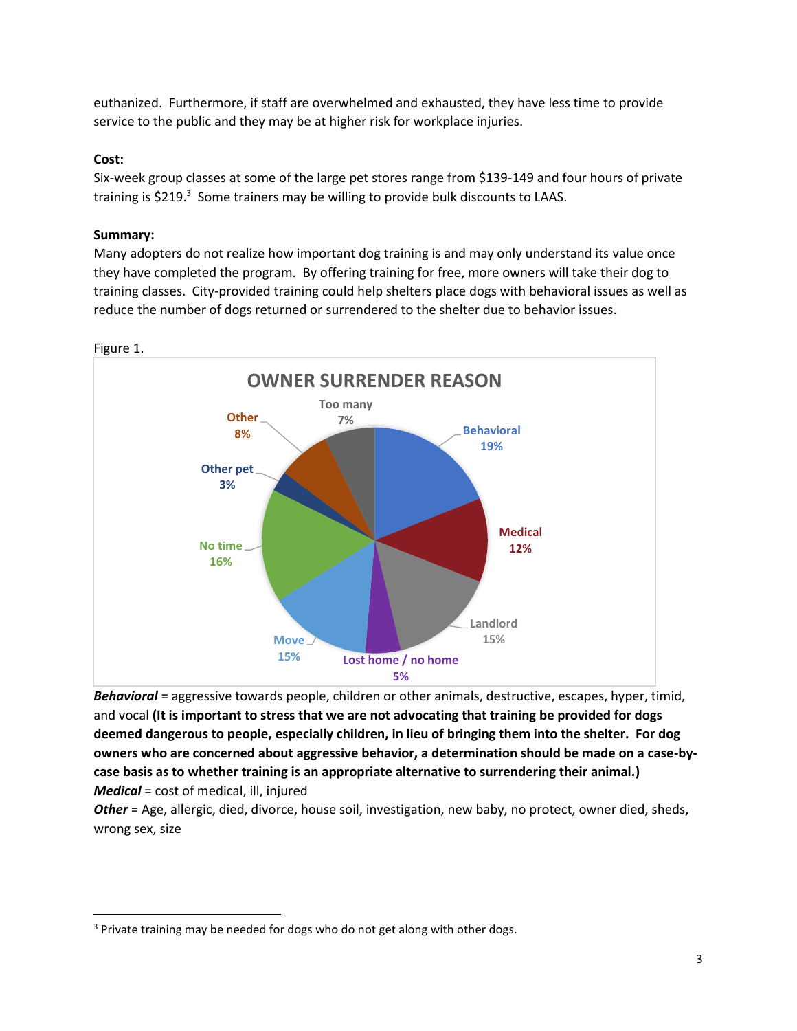euthanized. Furthermore, if staff are overwhelmed and exhausted, they have less time to provide service to the public and they may be at higher risk for workplace injuries.

## **Cost:**

Six-week group classes at some of the large pet stores range from \$139-149 and four hours of private training is \$219.<sup>3</sup> Some trainers may be willing to provide bulk discounts to LAAS.

# **Summary:**

Many adopters do not realize how important dog training is and may only understand its value once they have completed the program. By offering training for free, more owners will take their dog to training classes. City-provided training could help shelters place dogs with behavioral issues as well as reduce the number of dogs returned or surrendered to the shelter due to behavior issues.



Figure 1.

*Behavioral* = aggressive towards people, children or other animals, destructive, escapes, hyper, timid, and vocal **(It is important to stress that we are not advocating that training be provided for dogs deemed dangerous to people, especially children, in lieu of bringing them into the shelter. For dog owners who are concerned about aggressive behavior, a determination should be made on a case-bycase basis as to whether training is an appropriate alternative to surrendering their animal.)** *Medical* = cost of medical, ill, injured

*Other* = Age, allergic, died, divorce, house soil, investigation, new baby, no protect, owner died, sheds, wrong sex, size

<sup>&</sup>lt;sup>3</sup> Private training may be needed for dogs who do not get along with other dogs.